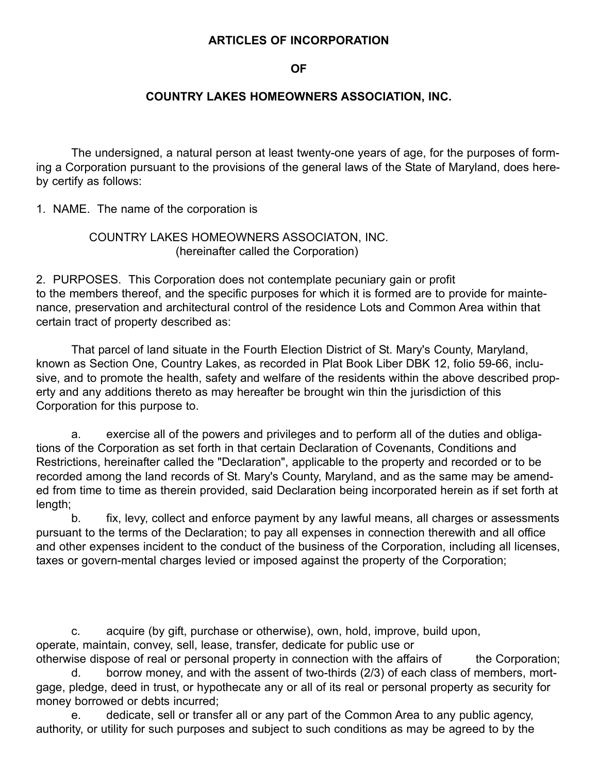# **ARTICLES OF INCORPORATION**

#### **OF**

### **COUNTRY LAKES HOMEOWNERS ASSOCIATION, INC.**

The undersigned, a natural person at least twenty-one years of age, for the purposes of forming a Corporation pursuant to the provisions of the general laws of the State of Maryland, does hereby certify as follows:

1. NAME. The name of the corporation is

# COUNTRY LAKES HOMEOWNERS ASSOCIATON, INC. (hereinafter called the Corporation)

2. PURPOSES. This Corporation does not contemplate pecuniary gain or profit to the members thereof, and the specific purposes for which it is formed are to provide for maintenance, preservation and architectural control of the residence Lots and Common Area within that certain tract of property described as:

That parcel of land situate in the Fourth Election District of St. Mary's County, Maryland, known as Section One, Country Lakes, as recorded in Plat Book Liber DBK 12, folio 59-66, inclusive, and to promote the health, safety and welfare of the residents within the above described property and any additions thereto as may hereafter be brought win thin the jurisdiction of this Corporation for this purpose to.

a. exercise all of the powers and privileges and to perform all of the duties and obligations of the Corporation as set forth in that certain Declaration of Covenants, Conditions and Restrictions, hereinafter called the "Declaration", applicable to the property and recorded or to be recorded among the land records of St. Mary's County, Maryland, and as the same may be amended from time to time as therein provided, said Declaration being incorporated herein as if set forth at length;

b. fix, levy, collect and enforce payment by any lawful means, all charges or assessments pursuant to the terms of the Declaration; to pay all expenses in connection therewith and all office and other expenses incident to the conduct of the business of the Corporation, including all licenses, taxes or govern-mental charges levied or imposed against the property of the Corporation;

c. acquire (by gift, purchase or otherwise), own, hold, improve, build upon, operate, maintain, convey, sell, lease, transfer, dedicate for public use or otherwise dispose of real or personal property in connection with the affairs of the Corporation;

d. borrow money, and with the assent of two-thirds (2/3) of each class of members, mortgage, pledge, deed in trust, or hypothecate any or all of its real or personal property as security for money borrowed or debts incurred;

e. dedicate, sell or transfer all or any part of the Common Area to any public agency, authority, or utility for such purposes and subject to such conditions as may be agreed to by the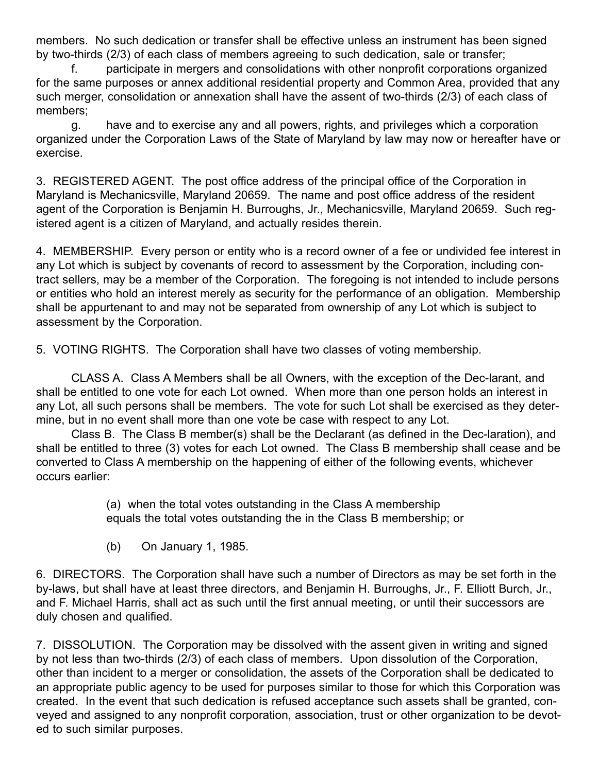members. No such dedication or transfer shall be effective unless an instrument has been signed by two-thirds (2/3) of each class of members agreeing to such dedication, sale or transfer;

f. participate in mergers and consolidations with other nonprofit corporations organized for the same purposes or annex additional residential property and Common Area, provided that any such merger, consolidation or annexation shall have the assent of two-thirds (2/3) of each class of members;

g. have and to exercise any and all powers, rights, and privileges which a corporation organized under the Corporation Laws of the State of Maryland by law may now or hereafter have or exercise.

3. REGISTERED AGENT. The post office address of the principal office of the Corporation in Maryland is Mechanicsville, Maryland 20659. The name and post office address of the resident agent of the Corporation is Benjamin H. Burroughs, Jr., Mechanicsville, Maryland 20659. Such registered agent is a citizen of Maryland, and actually resides therein.

4. MEMBERSHIP. Every person or entity who is a record owner of a fee or undivided fee interest in any Lot which is subject by covenants of record to assessment by the Corporation, including contract sellers, may be a member of the Corporation. The foregoing is not intended to include persons or entities who hold an interest merely as security for the performance of an obligation. Membership shall be appurtenant to and may not be separated from ownership of any Lot which is subject to assessment by the Corporation.

5. VOTING RIGHTS. The Corporation shall have two classes of voting membership.

CLASS A. Class A Members shall be all Owners, with the exception of the Dec-larant, and shall be entitled to one vote for each Lot owned. When more than one person holds an interest in any Lot, all such persons shall be members. The vote for such Lot shall be exercised as they determine, but in no event shall more than one vote be case with respect to any Lot.

Class B. The Class B member(s) shall be the Declarant (as defined in the Dec-laration), and shall be entitled to three (3) votes for each Lot owned. The Class B membership shall cease and be converted to Class A membership on the happening of either of the following events, whichever occurs earlier:

> (a) when the total votes outstanding in the Class A membership equals the total votes outstanding the in the Class B membership; or

(b) On January 1, 1985.

6. DIRECTORS. The Corporation shall have such a number of Directors as may be set forth in the by-laws, but shall have at least three directors, and Benjamin H. Burroughs, Jr., F. Elliott Burch, Jr., and F. Michael Harris, shall act as such until the first annual meeting, or until their successors are duly chosen and qualified.

7. DISSOLUTION. The Corporation may be dissolved with the assent given in writing and signed by not less than two-thirds (2/3) of each class of members. Upon dissolution of the Corporation, other than incident to a merger or consolidation, the assets of the Corporation shall be dedicated to an appropriate public agency to be used for purposes similar to those for which this Corporation was created. In the event that such dedication is refused acceptance such assets shall be granted, conveyed and assigned to any nonprofit corporation, association, trust or other organization to be devoted to such similar purposes.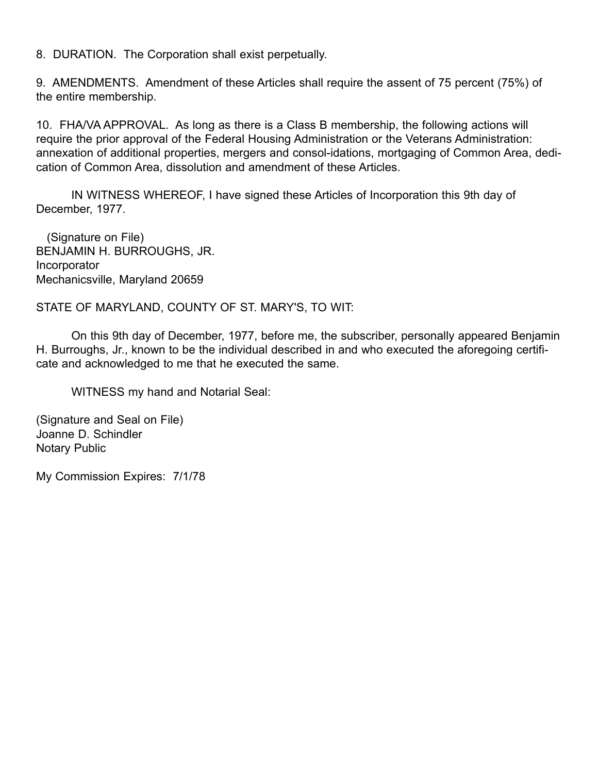8. DURATION. The Corporation shall exist perpetually.

9. AMENDMENTS. Amendment of these Articles shall require the assent of 75 percent (75%) of the entire membership.

10. FHA/VA APPROVAL. As long as there is a Class B membership, the following actions will require the prior approval of the Federal Housing Administration or the Veterans Administration: annexation of additional properties, mergers and consol-idations, mortgaging of Common Area, dedication of Common Area, dissolution and amendment of these Articles.

IN WITNESS WHEREOF, I have signed these Articles of Incorporation this 9th day of December, 1977.

(Signature on File) BENJAMIN H. BURROUGHS, JR. Incorporator Mechanicsville, Maryland 20659

STATE OF MARYLAND, COUNTY OF ST. MARY'S, TO WIT:

On this 9th day of December, 1977, before me, the subscriber, personally appeared Benjamin H. Burroughs, Jr., known to be the individual described in and who executed the aforegoing certificate and acknowledged to me that he executed the same.

WITNESS my hand and Notarial Seal:

(Signature and Seal on File) Joanne D. Schindler Notary Public

My Commission Expires: 7/1/78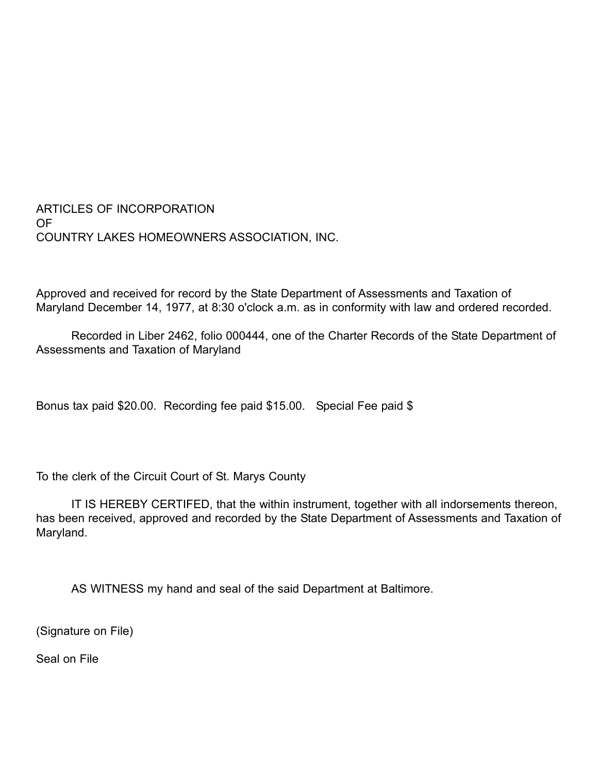ARTICLES OF INCORPORATION OF COUNTRY LAKES HOMEOWNERS ASSOCIATION, INC.

Approved and received for record by the State Department of Assessments and Taxation of Maryland December 14, 1977, at 8:30 o'clock a.m. as in conformity with law and ordered recorded.

Recorded in Liber 2462, folio 000444, one of the Charter Records of the State Department of Assessments and Taxation of Maryland

Bonus tax paid \$20.00. Recording fee paid \$15.00. Special Fee paid \$

To the clerk of the Circuit Court of St. Marys County

IT IS HEREBY CERTIFED, that the within instrument, together with all indorsements thereon, has been received, approved and recorded by the State Department of Assessments and Taxation of Maryland.

AS WITNESS my hand and seal of the said Department at Baltimore.

(Signature on File)

Seal on File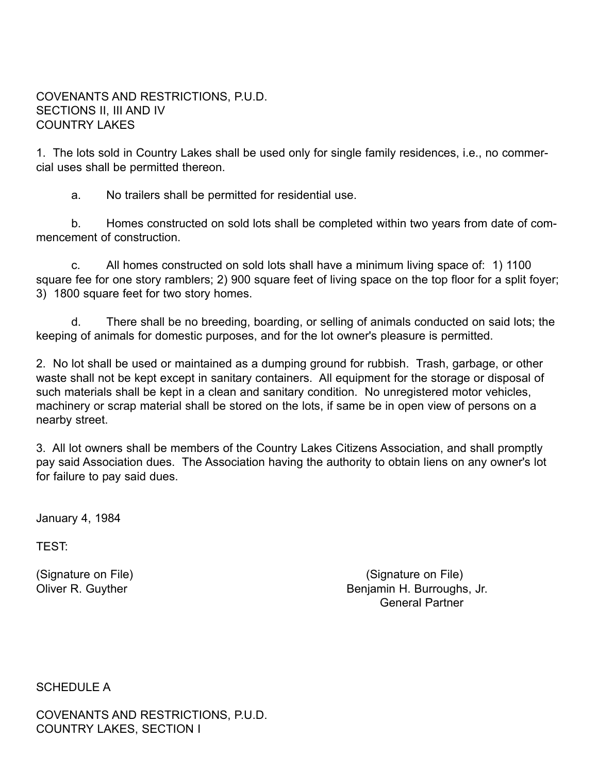# COVENANTS AND RESTRICTIONS, P.U.D. SECTIONS II, III AND IV COUNTRY LAKES

1. The lots sold in Country Lakes shall be used only for single family residences, i.e., no commercial uses shall be permitted thereon.

a. No trailers shall be permitted for residential use.

b. Homes constructed on sold lots shall be completed within two years from date of commencement of construction.

c. All homes constructed on sold lots shall have a minimum living space of: 1) 1100 square fee for one story ramblers; 2) 900 square feet of living space on the top floor for a split foyer; 3) 1800 square feet for two story homes.

d. There shall be no breeding, boarding, or selling of animals conducted on said lots; the keeping of animals for domestic purposes, and for the lot owner's pleasure is permitted.

2. No lot shall be used or maintained as a dumping ground for rubbish. Trash, garbage, or other waste shall not be kept except in sanitary containers. All equipment for the storage or disposal of such materials shall be kept in a clean and sanitary condition. No unregistered motor vehicles, machinery or scrap material shall be stored on the lots, if same be in open view of persons on a nearby street.

3. All lot owners shall be members of the Country Lakes Citizens Association, and shall promptly pay said Association dues. The Association having the authority to obtain liens on any owner's lot for failure to pay said dues.

January 4, 1984

TEST:

(Signature on File) (Signature on File) Oliver R. Guyther **Benjamin H. Burroughs, Jr. Benjamin H. Burroughs, Jr.** General Partner

SCHEDULE A

COVENANTS AND RESTRICTIONS, P.U.D. COUNTRY LAKES, SECTION I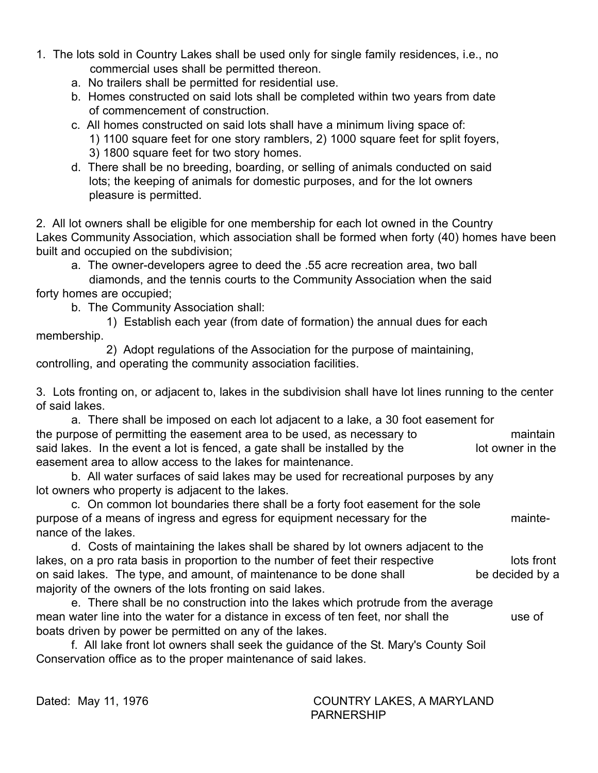- 1. The lots sold in Country Lakes shall be used only for single family residences, i.e., no commercial uses shall be permitted thereon.
	- a. No trailers shall be permitted for residential use.
	- b. Homes constructed on said lots shall be completed within two years from date of commencement of construction.
	- c. All homes constructed on said lots shall have a minimum living space of:
		- 1) 1100 square feet for one story ramblers, 2) 1000 square feet for split foyers,
		- 3) 1800 square feet for two story homes.
	- d. There shall be no breeding, boarding, or selling of animals conducted on said lots; the keeping of animals for domestic purposes, and for the lot owners pleasure is permitted.

2. All lot owners shall be eligible for one membership for each lot owned in the Country Lakes Community Association, which association shall be formed when forty (40) homes have been built and occupied on the subdivision;

a. The owner-developers agree to deed the .55 acre recreation area, two ball

diamonds, and the tennis courts to the Community Association when the said forty homes are occupied;

b. The Community Association shall:

1) Establish each year (from date of formation) the annual dues for each membership.

2) Adopt regulations of the Association for the purpose of maintaining, controlling, and operating the community association facilities.

3. Lots fronting on, or adjacent to, lakes in the subdivision shall have lot lines running to the center of said lakes.

a. There shall be imposed on each lot adjacent to a lake, a 30 foot easement for the purpose of permitting the easement area to be used, as necessary to maintain said lakes. In the event a lot is fenced, a gate shall be installed by the lot owner in the easement area to allow access to the lakes for maintenance.

b. All water surfaces of said lakes may be used for recreational purposes by any lot owners who property is adjacent to the lakes.

c. On common lot boundaries there shall be a forty foot easement for the sole purpose of a means of ingress and egress for equipment necessary for the maintenance of the lakes.

d. Costs of maintaining the lakes shall be shared by lot owners adjacent to the lakes, on a pro rata basis in proportion to the number of feet their respective lots front on said lakes. The type, and amount, of maintenance to be done shall be decided by a majority of the owners of the lots fronting on said lakes.

e. There shall be no construction into the lakes which protrude from the average mean water line into the water for a distance in excess of ten feet, nor shall the use of boats driven by power be permitted on any of the lakes.

f. All lake front lot owners shall seek the guidance of the St. Mary's County Soil Conservation office as to the proper maintenance of said lakes.

Dated: May 11, 1976 COUNTRY LAKES, A MARYLAND PARNERSHIP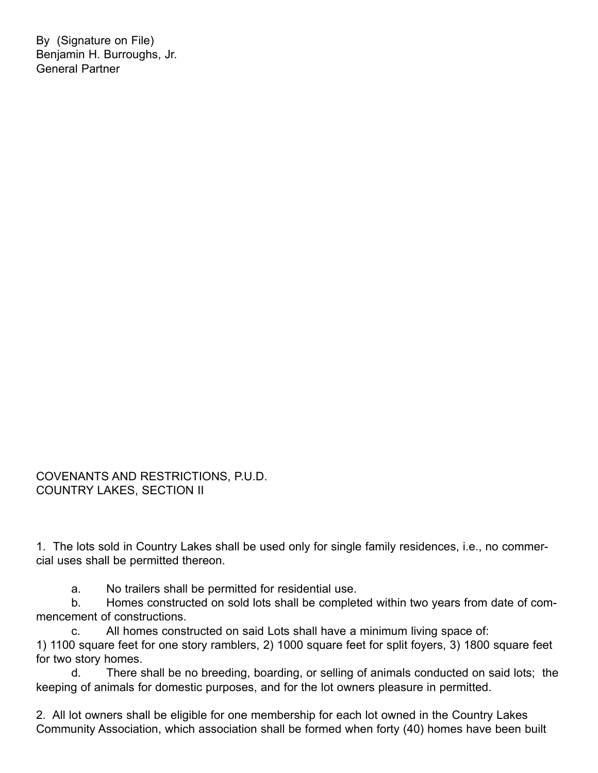By (Signature on File) Benjamin H. Burroughs, Jr. General Partner

COVENANTS AND RESTRICTIONS, P.U.D. COUNTRY LAKES, SECTION II

1. The lots sold in Country Lakes shall be used only for single family residences, i.e., no commercial uses shall be permitted thereon.

a. No trailers shall be permitted for residential use.

b. Homes constructed on sold lots shall be completed within two years from date of commencement of constructions.

c. All homes constructed on said Lots shall have a minimum living space of: 1) 1100 square feet for one story ramblers, 2) 1000 square feet for split foyers, 3) 1800 square feet for two story homes.

d. There shall be no breeding, boarding, or selling of animals conducted on said lots; the keeping of animals for domestic purposes, and for the lot owners pleasure in permitted.

2. All lot owners shall be eligible for one membership for each lot owned in the Country Lakes Community Association, which association shall be formed when forty (40) homes have been built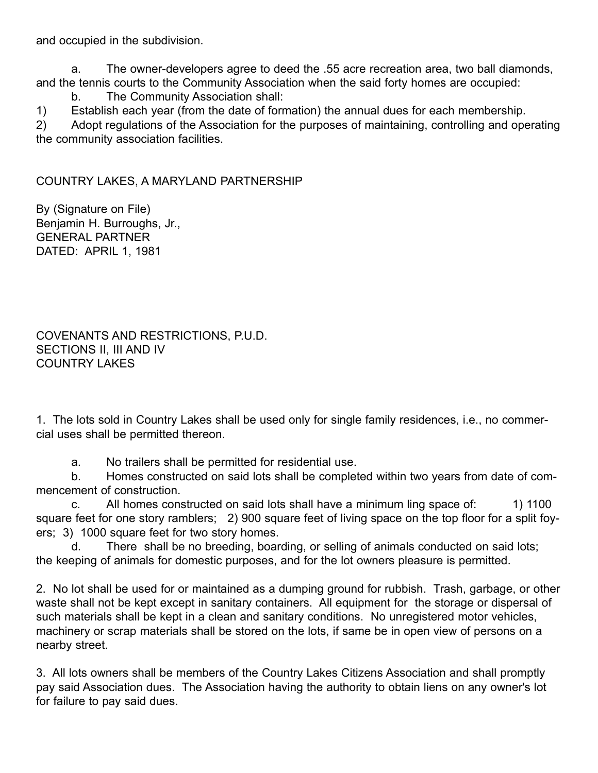and occupied in the subdivision.

a. The owner-developers agree to deed the .55 acre recreation area, two ball diamonds, and the tennis courts to the Community Association when the said forty homes are occupied:

b. The Community Association shall:

1) Establish each year (from the date of formation) the annual dues for each membership.

2) Adopt regulations of the Association for the purposes of maintaining, controlling and operating the community association facilities.

COUNTRY LAKES, A MARYLAND PARTNERSHIP

By (Signature on File) Benjamin H. Burroughs, Jr., GENERAL PARTNER DATED: APRIL 1, 1981

COVENANTS AND RESTRICTIONS, P.U.D. SECTIONS II, III AND IV COUNTRY LAKES

1. The lots sold in Country Lakes shall be used only for single family residences, i.e., no commercial uses shall be permitted thereon.

a. No trailers shall be permitted for residential use.

b. Homes constructed on said lots shall be completed within two years from date of commencement of construction.

c. All homes constructed on said lots shall have a minimum ling space of: 1) 1100 square feet for one story ramblers; 2) 900 square feet of living space on the top floor for a split foyers; 3) 1000 square feet for two story homes.

d. There shall be no breeding, boarding, or selling of animals conducted on said lots; the keeping of animals for domestic purposes, and for the lot owners pleasure is permitted.

2. No lot shall be used for or maintained as a dumping ground for rubbish. Trash, garbage, or other waste shall not be kept except in sanitary containers. All equipment for the storage or dispersal of such materials shall be kept in a clean and sanitary conditions. No unregistered motor vehicles, machinery or scrap materials shall be stored on the lots, if same be in open view of persons on a nearby street.

3. All lots owners shall be members of the Country Lakes Citizens Association and shall promptly pay said Association dues. The Association having the authority to obtain liens on any owner's lot for failure to pay said dues.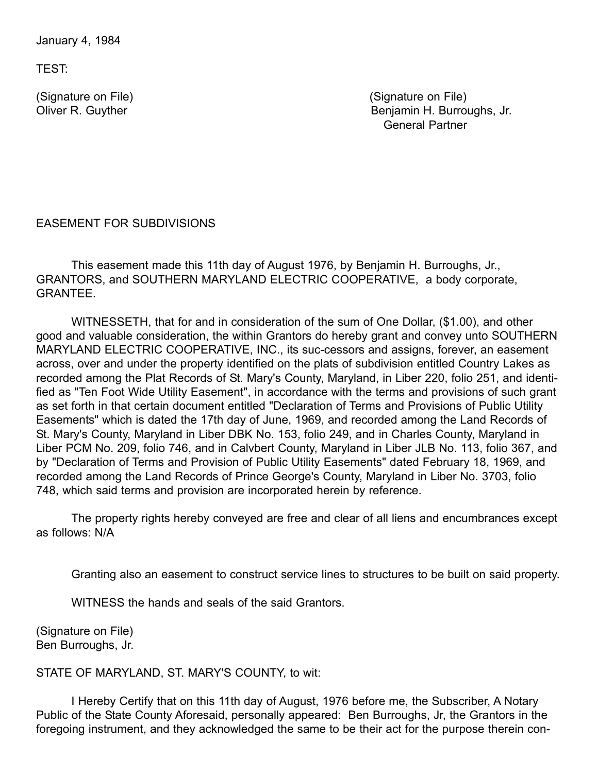January 4, 1984

TEST:

(Signature on File) (Signature on File) Oliver R. Guyther Benjamin H. Burroughs, Jr. General Partner

EASEMENT FOR SUBDIVISIONS

This easement made this 11th day of August 1976, by Benjamin H. Burroughs, Jr., GRANTORS, and SOUTHERN MARYLAND ELECTRIC COOPERATIVE, a body corporate, GRANTEE.

WITNESSETH, that for and in consideration of the sum of One Dollar, (\$1.00), and other good and valuable consideration, the within Grantors do hereby grant and convey unto SOUTHERN MARYLAND ELECTRIC COOPERATIVE, INC., its suc-cessors and assigns, forever, an easement across, over and under the property identified on the plats of subdivision entitled Country Lakes as recorded among the Plat Records of St. Mary's County, Maryland, in Liber 220, folio 251, and identified as "Ten Foot Wide Utility Easement", in accordance with the terms and provisions of such grant as set forth in that certain document entitled "Declaration of Terms and Provisions of Public Utility Easements" which is dated the 17th day of June, 1969, and recorded among the Land Records of St. Mary's County, Maryland in Liber DBK No. 153, folio 249, and in Charles County, Maryland in Liber PCM No. 209, folio 746, and in Calvbert County, Maryland in Liber JLB No. 113, folio 367, and by "Declaration of Terms and Provision of Public Utility Easements" dated February 18, 1969, and recorded among the Land Records of Prince George's County, Maryland in Liber No. 3703, folio 748, which said terms and provision are incorporated herein by reference.

The property rights hereby conveyed are free and clear of all liens and encumbrances except as follows: N/A

Granting also an easement to construct service lines to structures to be built on said property.

WITNESS the hands and seals of the said Grantors.

(Signature on File) Ben Burroughs, Jr.

STATE OF MARYLAND, ST. MARY'S COUNTY, to wit:

I Hereby Certify that on this 11th day of August, 1976 before me, the Subscriber, A Notary Public of the State County Aforesaid, personally appeared: Ben Burroughs, Jr, the Grantors in the foregoing instrument, and they acknowledged the same to be their act for the purpose therein con